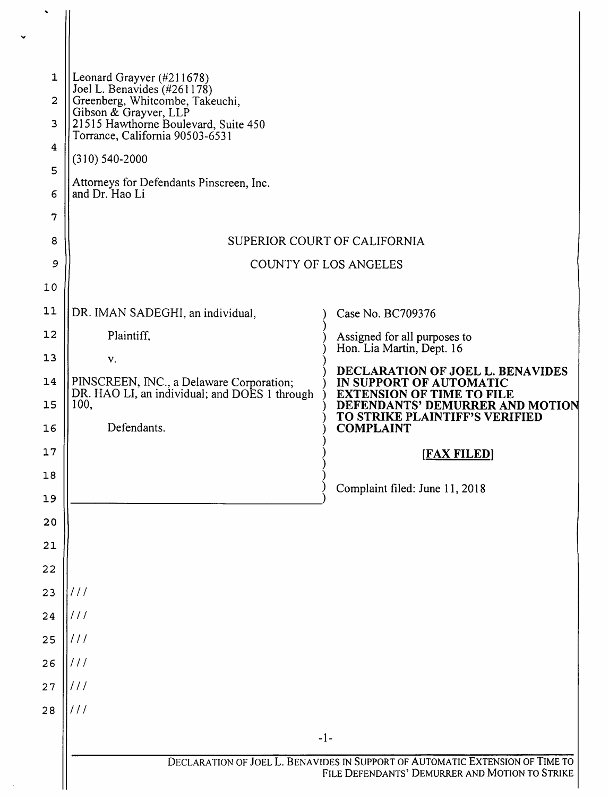| 1                | Leonard Grayver (#211678)                                                                         |                                                                                                |  |
|------------------|---------------------------------------------------------------------------------------------------|------------------------------------------------------------------------------------------------|--|
| $\overline{2}$   | Joel L. Benavides (#261178)<br>Greenberg, Whitcombe, Takeuchi,                                    |                                                                                                |  |
| 3                | Gibson & Grayver, LLP<br>21515 Hawthorne Boulevard, Suite 450                                     |                                                                                                |  |
| $\boldsymbol{4}$ | Torrance, California 90503-6531                                                                   |                                                                                                |  |
| 5                | $(310) 540 - 2000$                                                                                |                                                                                                |  |
| 6                | Attorneys for Defendants Pinscreen, Inc.<br>and Dr. Hao Li                                        |                                                                                                |  |
| 7                |                                                                                                   |                                                                                                |  |
| 8                | SUPERIOR COURT OF CALIFORNIA                                                                      |                                                                                                |  |
| 9                | COUNTY OF LOS ANGELES                                                                             |                                                                                                |  |
| 10               |                                                                                                   |                                                                                                |  |
| 11               | DR. IMAN SADEGHI, an individual,                                                                  | Case No. BC709376                                                                              |  |
| 12               | Plaintiff,                                                                                        | Assigned for all purposes to<br>Hon. Lia Martin, Dept. 16                                      |  |
| 13               | ${\bf v}.$                                                                                        | DECLARATION OF JOEL L. BENAVIDES                                                               |  |
| 14<br>15         | PINSCREEN, INC., a Delaware Corporation;<br>DR. HAO LI, an individual; and DOES 1 through<br>100, | IN SUPPORT OF AUTOMATIC<br><b>EXTENSION OF TIME TO FILE</b><br>DEFENDANTS' DEMURRER AND MOTION |  |
| 16               | Defendants.                                                                                       | TO STRIKE PLAINTIFF'S VERIFIED<br><b>COMPLAINT</b>                                             |  |
| 17               |                                                                                                   | <b>IFAX FILEDI</b>                                                                             |  |
| 18               |                                                                                                   | Complaint filed: June 11, 2018                                                                 |  |
| 19               |                                                                                                   |                                                                                                |  |
| 20               |                                                                                                   |                                                                                                |  |
| 21               |                                                                                                   |                                                                                                |  |
| 22               |                                                                                                   |                                                                                                |  |
| 23               | 111<br>111                                                                                        |                                                                                                |  |
| 24<br>25         | 111                                                                                               |                                                                                                |  |
| 26               | 111                                                                                               |                                                                                                |  |
| 27               | 111                                                                                               |                                                                                                |  |
| 28               | 111                                                                                               |                                                                                                |  |
|                  | $-1-$                                                                                             |                                                                                                |  |
|                  | DECLARATION OF JOEL L. BENAVIDES IN SUPPORT OF AUTOMATIC EXTENSION OF TIME TO                     |                                                                                                |  |
|                  | FILE DEFENDANTS' DEMURRER AND MOTION TO STRIKE                                                    |                                                                                                |  |

 $\ddot{\phantom{0}}$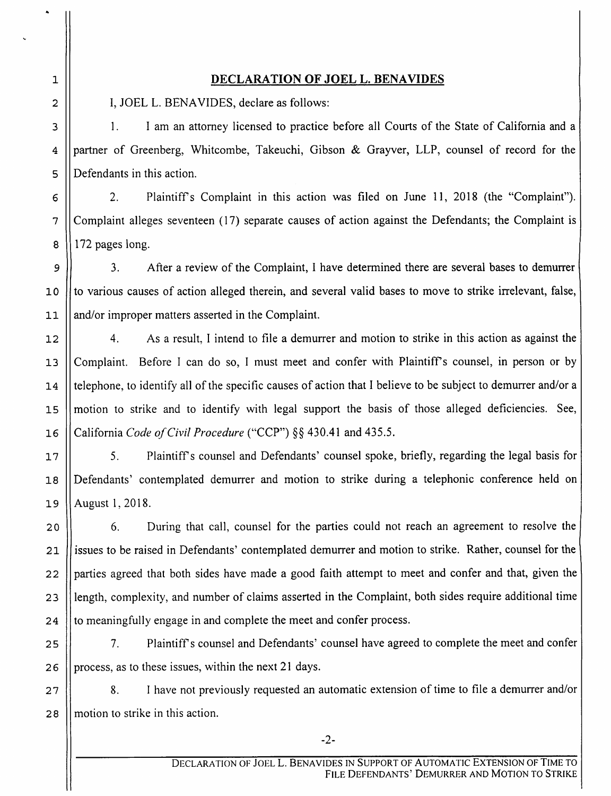1 2 3

4

5

6

7

8

9

10

11

12

13

14

15

16

17

18

19

20

21

22

23

24

## DECLARATION OF JOEL L. BENAVIDES

I, JOEL L. BENAVIDES, declare as follows:

1. I am an attorney licensed to practice before all Courts of the State of California and a partner of Greenberg, Whitcombe, Takeuchi, Gibson & Grayver, LLP, counsel of record for the Defendants in this action.

2. Plaintiffs Complaint in this action was filed on June 11, 2018 (the "Complaint"). Complaint alleges seventeen (17) separate causes of action against the Defendants; the Complaint is 172 pages long.

3. After a review of the Complaint, I have determined there are several bases to demurrer to various causes of action alleged therein, and several valid bases to move to strike irrelevant, false, and/or improper matters asserted in the Complaint.

4. As a result, I intend to file a demurrer and motion to strike in this action as against the Complaint. Before I can do so, I must meet and confer with Plaintiff's counsel, in person or by telephone, to identify all of the specific causes of action that I believe to be subject to demurrer and/or a motion to strike and to identify with legal support the basis of those alleged deficiencies. See, California Code of Civil Procedure ("CCP") §§ 430.41 and 435.5.

5. Plaintiffs counsel and Defendants' counsel spoke, briefly, regarding the legal basis for Defendants' contemplated demurrer and motion to strike during a telephonic conference held on August 1, 2018.

6. During that call, counsel for the parties could not reach an agreement to resolve the issues to be raised in Defendants' contemplated demurrer and motion to strike. Rather, counsel for the parties agreed that both sides have made a good faith attempt to meet and confer and that, given the length, complexity, and number of claims asserted in the Complaint, both sides require additional time to meaningfully engage in and complete the meet and confer process.

25 26 7. Plaintiffs counsel and Defendants' counsel have agreed to complete the meet and confer process, as to these issues, within the next 21 days.

27 28 8. I have not previously requested an automatic extension of time to file a demurrer and/or motion to strike in this action.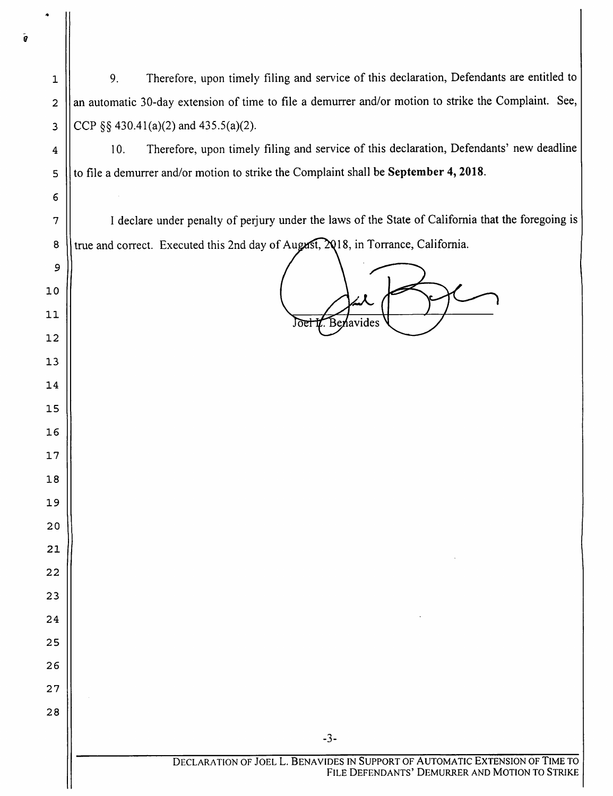9. Therefore, upon timely filing and service of this declaration, Defendants are entitled to an automatic 30-day extension of time to file a demurrer and/or motion to strike the Complaint. See, CCP  $\S$ § 430.41(a)(2) and 435.5(a)(2).

10. Therefore, upon timely filing and service of this declaration, Defendants' new deadline to file a demurrer and/or motion to strike the Complaint shall be September 4,2018.

I declare under penalty of perjury under the laws of the State of California that the foregoing is true and correct. Executed this 2nd day of August, , in Torrance, California.

 $\frac{d}{d\lambda}$  $L_{\text{B}}$ enavides  $\begin{pmatrix} 1 & 1 \\ 1 & 1 \end{pmatrix}$ 

 $-3-$ 

 $\bar{\mathbf{g}}$